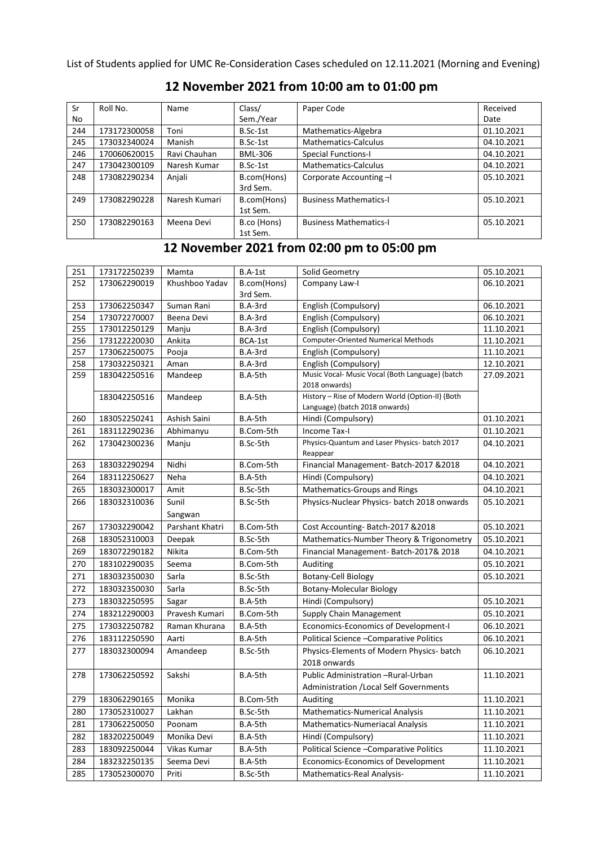List of Students applied for UMC Re-Consideration Cases scheduled on 12.11.2021 (Morning and Evening)

| Sr  | Roll No.     | Name          | Class/                  | Paper Code                    | Received   |
|-----|--------------|---------------|-------------------------|-------------------------------|------------|
| No  |              |               | Sem./Year               |                               | Date       |
| 244 | 173172300058 | Toni          | B.Sc-1st                | Mathematics-Algebra           | 01.10.2021 |
| 245 | 173032340024 | Manish        | B.Sc-1st                | Mathematics-Calculus          | 04.10.2021 |
| 246 | 170060620015 | Ravi Chauhan  | BML-306                 | <b>Special Functions-I</b>    | 04.10.2021 |
| 247 | 173042300109 | Naresh Kumar  | B.Sc-1st                | Mathematics-Calculus          | 04.10.2021 |
| 248 | 173082290234 | Anjali        | B.com(Hons)<br>3rd Sem. | Corporate Accounting -I       | 05.10.2021 |
|     |              |               |                         |                               |            |
| 249 | 173082290228 | Naresh Kumari | B.com(Hons)             | <b>Business Mathematics-I</b> | 05.10.2021 |
|     |              |               | 1st Sem.                |                               |            |
| 250 | 173082290163 | Meena Devi    | B.co (Hons)             | <b>Business Mathematics-I</b> | 05.10.2021 |
|     |              |               | 1st Sem.                |                               |            |

## **12 November 2021 from 10:00 am to 01:00 pm**

## **12 November 2021 from 02:00 pm to 05:00 pm**

| 251 | 173172250239 | Mamta           | B.A-1st     | Solid Geometry                                                                     | 05.10.2021 |
|-----|--------------|-----------------|-------------|------------------------------------------------------------------------------------|------------|
| 252 | 173062290019 | Khushboo Yadav  | B.com(Hons) | Company Law-I                                                                      | 06.10.2021 |
|     |              |                 | 3rd Sem.    |                                                                                    |            |
| 253 | 173062250347 | Suman Rani      | B.A-3rd     | English (Compulsory)                                                               | 06.10.2021 |
| 254 | 173072270007 | Beena Devi      | B.A-3rd     | English (Compulsory)                                                               | 06.10.2021 |
| 255 | 173012250129 | Manju           | B.A-3rd     | English (Compulsory)                                                               | 11.10.2021 |
| 256 | 173122220030 | Ankita          | BCA-1st     | <b>Computer-Oriented Numerical Methods</b>                                         | 11.10.2021 |
| 257 | 173062250075 | Pooja           | B.A-3rd     | English (Compulsory)                                                               | 11.10.2021 |
| 258 | 173032250321 | Aman            | B.A-3rd     | English (Compulsory)                                                               | 12.10.2021 |
| 259 | 183042250516 | Mandeep         | B.A-5th     | Music Vocal- Music Vocal (Both Language) (batch<br>2018 onwards)                   | 27.09.2021 |
|     | 183042250516 | Mandeep         | B.A-5th     | History - Rise of Modern World (Option-II) (Both<br>Language) (batch 2018 onwards) |            |
| 260 | 183052250241 | Ashish Saini    | B.A-5th     | Hindi (Compulsory)                                                                 | 01.10.2021 |
| 261 | 183112290236 | Abhimanyu       | B.Com-5th   | Income Tax-I                                                                       | 01.10.2021 |
| 262 | 173042300236 | Manju           | B.Sc-5th    | Physics-Quantum and Laser Physics- batch 2017<br>Reappear                          | 04.10.2021 |
| 263 | 183032290294 | Nidhi           | B.Com-5th   | Financial Management-Batch-2017 & 2018                                             | 04.10.2021 |
| 264 | 183112250627 | Neha            | B.A-5th     | Hindi (Compulsory)                                                                 | 04.10.2021 |
| 265 | 183032300017 | Amit            | B.Sc-5th    | <b>Mathematics-Groups and Rings</b>                                                | 04.10.2021 |
| 266 | 183032310036 | Sunil           | B.Sc-5th    | Physics-Nuclear Physics- batch 2018 onwards                                        | 05.10.2021 |
|     |              | Sangwan         |             |                                                                                    |            |
| 267 | 173032290042 | Parshant Khatri | B.Com-5th   | Cost Accounting-Batch-2017 & 2018                                                  | 05.10.2021 |
| 268 | 183052310003 | Deepak          | B.Sc-5th    | Mathematics-Number Theory & Trigonometry                                           | 05.10.2021 |
| 269 | 183072290182 | Nikita          | B.Com-5th   | Financial Management-Batch-2017& 2018                                              | 04.10.2021 |
| 270 | 183102290035 | Seema           | B.Com-5th   | Auditing                                                                           | 05.10.2021 |
| 271 | 183032350030 | Sarla           | B.Sc-5th    | <b>Botany-Cell Biology</b>                                                         | 05.10.2021 |
| 272 | 183032350030 | Sarla           | B.Sc-5th    | <b>Botany-Molecular Biology</b>                                                    |            |
| 273 | 183032250595 | Sagar           | B.A-5th     | Hindi (Compulsory)                                                                 | 05.10.2021 |
| 274 | 183212290003 | Pravesh Kumari  | B.Com-5th   | Supply Chain Management                                                            | 05.10.2021 |
| 275 | 173032250782 | Raman Khurana   | B.A-5th     | Economics-Economics of Development-I                                               | 06.10.2021 |
| 276 | 183112250590 | Aarti           | B.A-5th     | Political Science - Comparative Politics                                           | 06.10.2021 |
| 277 | 183032300094 | Amandeep        | B.Sc-5th    | Physics-Elements of Modern Physics- batch                                          | 06.10.2021 |
|     |              |                 |             | 2018 onwards                                                                       |            |
| 278 | 173062250592 | Sakshi          | B.A-5th     | Public Administration -Rural-Urban                                                 | 11.10.2021 |
|     |              |                 |             | Administration / Local Self Governments                                            |            |
| 279 | 183062290165 | Monika          | B.Com-5th   | Auditing                                                                           | 11.10.2021 |
| 280 | 173052310027 | Lakhan          | B.Sc-5th    | Mathematics-Numerical Analysis                                                     | 11.10.2021 |
| 281 | 173062250050 | Poonam          | B.A-5th     | Mathematics-Numeriacal Analysis                                                    | 11.10.2021 |
| 282 | 183202250049 | Monika Devi     | B.A-5th     | Hindi (Compulsory)                                                                 | 11.10.2021 |
| 283 | 183092250044 | Vikas Kumar     | B.A-5th     | Political Science - Comparative Politics                                           | 11.10.2021 |
| 284 | 183232250135 | Seema Devi      | B.A-5th     | <b>Economics-Economics of Development</b>                                          | 11.10.2021 |
| 285 | 173052300070 | Priti           | B.Sc-5th    | Mathematics-Real Analysis-                                                         | 11.10.2021 |